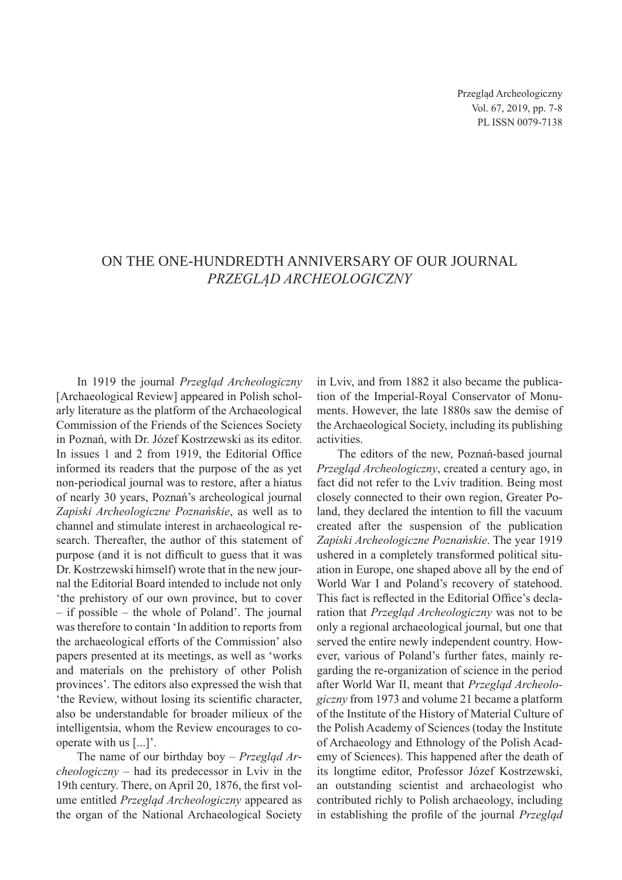## On the one-hundredth anniversary of our journal *Przegląd Archeologiczny*

In 1919 the journal *Przegląd Archeologiczny* [Archaeological Review] appeared in Polish scholarly literature as the platform of the Archaeological Commission of the Friends of the Sciences Society in Poznań, with Dr. Józef Kostrzewski as its editor. In issues 1 and 2 from 1919, the Editorial Office informed its readers that the purpose of the as yet non-periodical journal was to restore, after a hiatus of nearly 30 years, Poznań's archeological journal *Zapiski Archeologiczne Poznańskie*, as well as to channel and stimulate interest in archaeological research. Thereafter, the author of this statement of purpose (and it is not difficult to guess that it was Dr. Kostrzewski himself) wrote that in the new journal the Editorial Board intended to include not only 'the prehistory of our own province, but to cover – if possible – the whole of Poland'. The journal was therefore to contain 'In addition to reports from the archaeological efforts of the Commission' also papers presented at its meetings, as well as 'works and materials on the prehistory of other Polish provinces'. The editors also expressed the wish that 'the Review, without losing its scientific character, also be understandable for broader milieux of the intelligentsia, whom the Review encourages to cooperate with us [...]'.

The name of our birthday boy – *Przegląd Archeologiczny* – had its predecessor in Lviv in the 19th century. There, on April 20, 1876, the first volume entitled *Przegląd Archeologiczny* appeared as the organ of the National Archaeological Society in Lviv, and from 1882 it also became the publication of the Imperial-Royal Conservator of Monuments. However, the late 1880s saw the demise of the Archaeological Society, including its publishing activities.

The editors of the new, Poznań-based journal *Przegląd Archeologiczny*, created a century ago, in fact did not refer to the Lviv tradition. Being most closely connected to their own region, Greater Poland, they declared the intention to fill the vacuum created after the suspension of the publication *Zapiski Archeologiczne Poznańskie*. The year 1919 ushered in a completely transformed political situation in Europe, one shaped above all by the end of World War I and Poland's recovery of statehood. This fact is reflected in the Editorial Office's declaration that *Przegląd Archeologiczny* was not to be only a regional archaeological journal, but one that served the entire newly independent country. However, various of Poland's further fates, mainly regarding the re-organization of science in the period after World War II, meant that *Przegląd Archeologiczny* from 1973 and volume 21 became a platform of the Institute of the History of Material Culture of the Polish Academy of Sciences (today the Institute of Archaeology and Ethnology of the Polish Academy of Sciences). This happened after the death of its longtime editor, Professor Józef Kostrzewski, an outstanding scientist and archaeologist who contributed richly to Polish archaeology, including in establishing the profile of the journal *Przegląd*